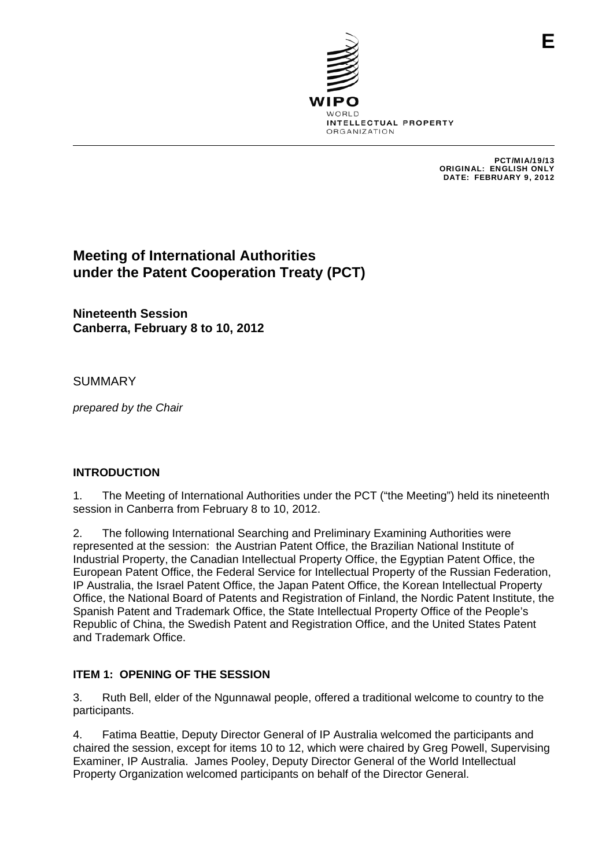

PCT/MIA/19/13 ORIGINAL: ENGLISH ONLY DATE: FEBRUARY 9, 2012

**E**

# **Meeting of International Authorities under the Patent Cooperation Treaty (PCT)**

**Nineteenth Session Canberra, February 8 to 10, 2012** 

# SUMMARY

*prepared by the Chair* 

# **INTRODUCTION**

1. The Meeting of International Authorities under the PCT ("the Meeting") held its nineteenth session in Canberra from February 8 to 10, 2012.

2. The following International Searching and Preliminary Examining Authorities were represented at the session: the Austrian Patent Office, the Brazilian National Institute of Industrial Property, the Canadian Intellectual Property Office, the Egyptian Patent Office, the European Patent Office, the Federal Service for Intellectual Property of the Russian Federation, IP Australia, the Israel Patent Office, the Japan Patent Office, the Korean Intellectual Property Office, the National Board of Patents and Registration of Finland, the Nordic Patent Institute, the Spanish Patent and Trademark Office, the State Intellectual Property Office of the People's Republic of China, the Swedish Patent and Registration Office, and the United States Patent and Trademark Office.

# **ITEM 1: OPENING OF THE SESSION**

3. Ruth Bell, elder of the Ngunnawal people, offered a traditional welcome to country to the participants.

4. Fatima Beattie, Deputy Director General of IP Australia welcomed the participants and chaired the session, except for items 10 to 12, which were chaired by Greg Powell, Supervising Examiner, IP Australia. James Pooley, Deputy Director General of the World Intellectual Property Organization welcomed participants on behalf of the Director General.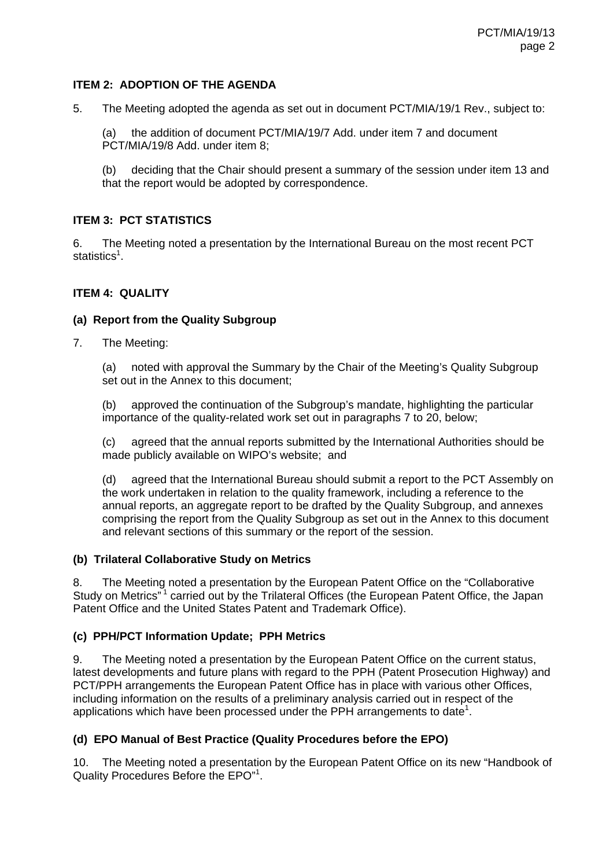## **ITEM 2: ADOPTION OF THE AGENDA**

5. The Meeting adopted the agenda as set out in document PCT/MIA/19/1 Rev., subject to:

(a) the addition of document PCT/MIA/19/7 Add. under item 7 and document PCT/MIA/19/8 Add. under item 8;

(b) deciding that the Chair should present a summary of the session under item 13 and that the report would be adopted by correspondence.

## **ITEM 3: PCT STATISTICS**

6. The Meeting noted a presentation by the International Bureau on the most recent PCT statistics<sup>1</sup>.

## **ITEM 4: QUALITY**

## **(a) Report from the Quality Subgroup**

7. The Meeting:

(a) noted with approval the Summary by the Chair of the Meeting's Quality Subgroup set out in the Annex to this document:

(b) approved the continuation of the Subgroup's mandate, highlighting the particular importance of the quality-related work set out in paragraphs 7 to 20, below;

(c) agreed that the annual reports submitted by the International Authorities should be made publicly available on WIPO's website; and

(d) agreed that the International Bureau should submit a report to the PCT Assembly on the work undertaken in relation to the quality framework, including a reference to the annual reports, an aggregate report to be drafted by the Quality Subgroup, and annexes comprising the report from the Quality Subgroup as set out in the Annex to this document and relevant sections of this summary or the report of the session.

### **(b) Trilateral Collaborative Study on Metrics**

8. The Meeting noted a presentation by the European Patent Office on the "Collaborative Study on Metrics<sup>"1</sup> carried out by the Trilateral Offices (the European Patent Office, the Japan Patent Office and the United States Patent and Trademark Office).

### **(c) PPH/PCT Information Update; PPH Metrics**

9. The Meeting noted a presentation by the European Patent Office on the current status, latest developments and future plans with regard to the PPH (Patent Prosecution Highway) and PCT/PPH arrangements the European Patent Office has in place with various other Offices, including information on the results of a preliminary analysis carried out in respect of the applications which have been processed under the PPH arrangements to date<sup>1</sup>.

### **(d) EPO Manual of Best Practice (Quality Procedures before the EPO)**

10. The Meeting noted a presentation by the European Patent Office on its new "Handbook of Quality Procedures Before the EPO"<sup>1</sup>.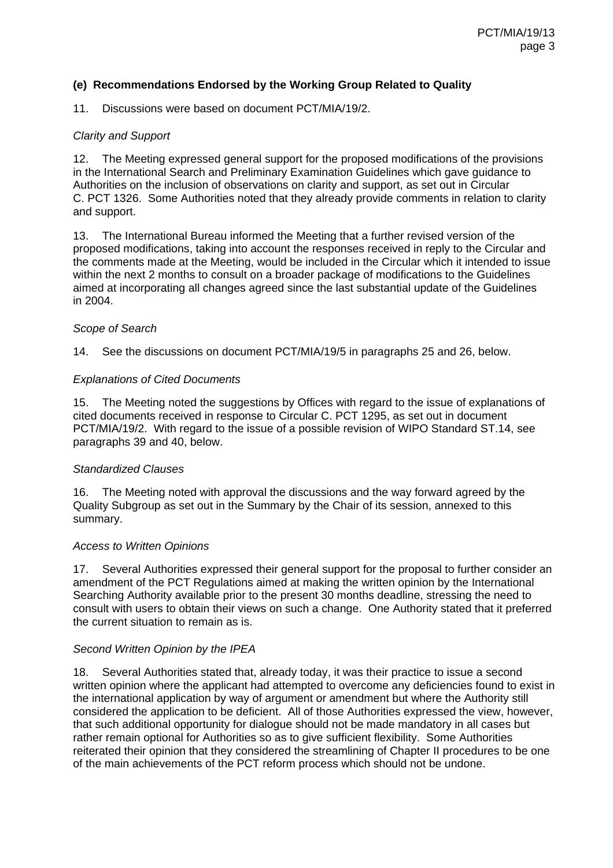### **(e) Recommendations Endorsed by the Working Group Related to Quality**

11. Discussions were based on document PCT/MIA/19/2.

#### *Clarity and Support*

12. The Meeting expressed general support for the proposed modifications of the provisions in the International Search and Preliminary Examination Guidelines which gave guidance to Authorities on the inclusion of observations on clarity and support, as set out in Circular C. PCT 1326. Some Authorities noted that they already provide comments in relation to clarity and support.

13. The International Bureau informed the Meeting that a further revised version of the proposed modifications, taking into account the responses received in reply to the Circular and the comments made at the Meeting, would be included in the Circular which it intended to issue within the next 2 months to consult on a broader package of modifications to the Guidelines aimed at incorporating all changes agreed since the last substantial update of the Guidelines in 2004.

#### *Scope of Search*

14. See the discussions on document PCT/MIA/19/5 in paragraphs 25 and 26, below.

#### *Explanations of Cited Documents*

15. The Meeting noted the suggestions by Offices with regard to the issue of explanations of cited documents received in response to Circular C. PCT 1295, as set out in document PCT/MIA/19/2. With regard to the issue of a possible revision of WIPO Standard ST.14, see paragraphs 39 and 40, below.

#### *Standardized Clauses*

16. The Meeting noted with approval the discussions and the way forward agreed by the Quality Subgroup as set out in the Summary by the Chair of its session, annexed to this summary.

#### *Access to Written Opinions*

17. Several Authorities expressed their general support for the proposal to further consider an amendment of the PCT Regulations aimed at making the written opinion by the International Searching Authority available prior to the present 30 months deadline, stressing the need to consult with users to obtain their views on such a change. One Authority stated that it preferred the current situation to remain as is.

#### *Second Written Opinion by the IPEA*

18. Several Authorities stated that, already today, it was their practice to issue a second written opinion where the applicant had attempted to overcome any deficiencies found to exist in the international application by way of argument or amendment but where the Authority still considered the application to be deficient. All of those Authorities expressed the view, however, that such additional opportunity for dialogue should not be made mandatory in all cases but rather remain optional for Authorities so as to give sufficient flexibility. Some Authorities reiterated their opinion that they considered the streamlining of Chapter II procedures to be one of the main achievements of the PCT reform process which should not be undone.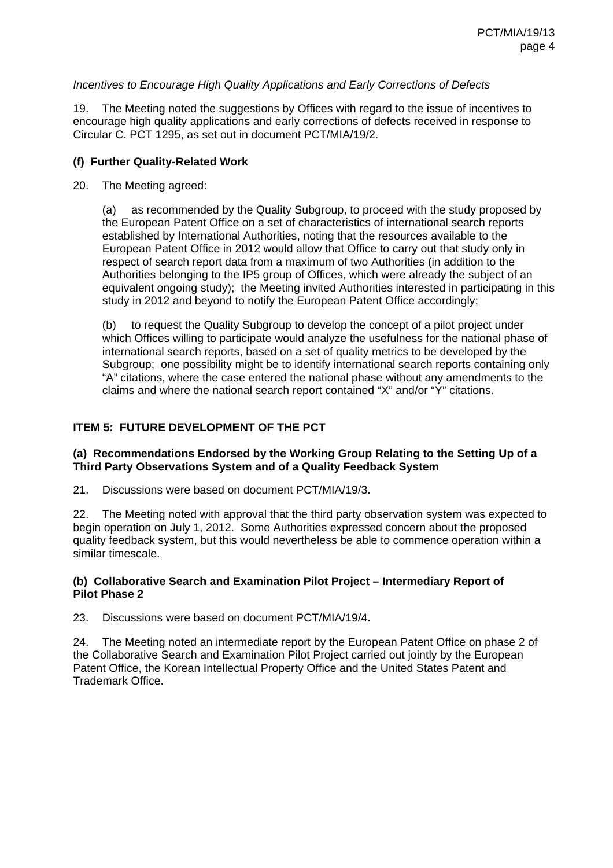### *Incentives to Encourage High Quality Applications and Early Corrections of Defects*

19. The Meeting noted the suggestions by Offices with regard to the issue of incentives to encourage high quality applications and early corrections of defects received in response to Circular C. PCT 1295, as set out in document PCT/MIA/19/2.

#### **(f) Further Quality-Related Work**

20. The Meeting agreed:

(a) as recommended by the Quality Subgroup, to proceed with the study proposed by the European Patent Office on a set of characteristics of international search reports established by International Authorities, noting that the resources available to the European Patent Office in 2012 would allow that Office to carry out that study only in respect of search report data from a maximum of two Authorities (in addition to the Authorities belonging to the IP5 group of Offices, which were already the subject of an equivalent ongoing study); the Meeting invited Authorities interested in participating in this study in 2012 and beyond to notify the European Patent Office accordingly;

(b) to request the Quality Subgroup to develop the concept of a pilot project under which Offices willing to participate would analyze the usefulness for the national phase of international search reports, based on a set of quality metrics to be developed by the Subgroup; one possibility might be to identify international search reports containing only "A" citations, where the case entered the national phase without any amendments to the claims and where the national search report contained "X" and/or "Y" citations.

#### **ITEM 5: FUTURE DEVELOPMENT OF THE PCT**

#### **(a) Recommendations Endorsed by the Working Group Relating to the Setting Up of a Third Party Observations System and of a Quality Feedback System**

21. Discussions were based on document PCT/MIA/19/3.

22. The Meeting noted with approval that the third party observation system was expected to begin operation on July 1, 2012. Some Authorities expressed concern about the proposed quality feedback system, but this would nevertheless be able to commence operation within a similar timescale.

#### **(b) Collaborative Search and Examination Pilot Project – Intermediary Report of Pilot Phase 2**

23. Discussions were based on document PCT/MIA/19/4.

24. The Meeting noted an intermediate report by the European Patent Office on phase 2 of the Collaborative Search and Examination Pilot Project carried out jointly by the European Patent Office, the Korean Intellectual Property Office and the United States Patent and Trademark Office.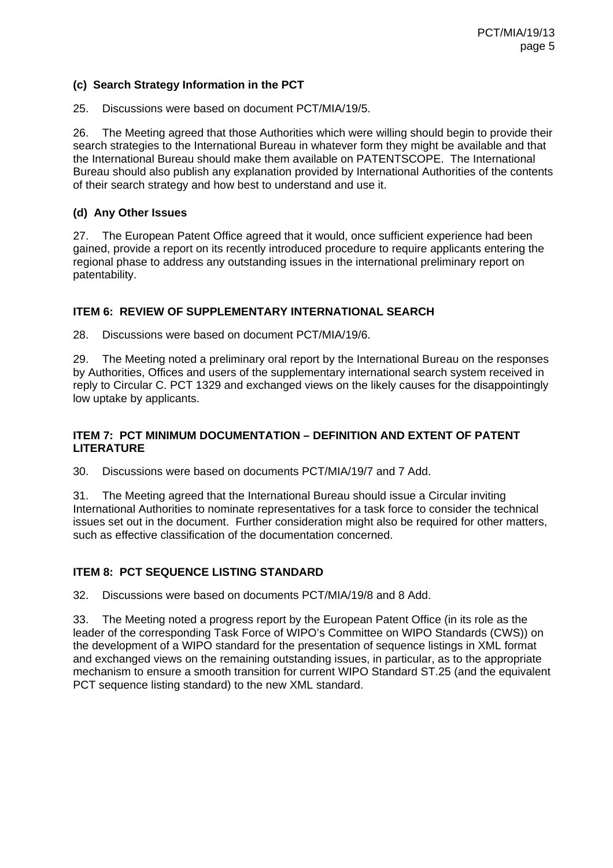### **(c) Search Strategy Information in the PCT**

25. Discussions were based on document PCT/MIA/19/5.

26. The Meeting agreed that those Authorities which were willing should begin to provide their search strategies to the International Bureau in whatever form they might be available and that the International Bureau should make them available on PATENTSCOPE. The International Bureau should also publish any explanation provided by International Authorities of the contents of their search strategy and how best to understand and use it.

### **(d) Any Other Issues**

27. The European Patent Office agreed that it would, once sufficient experience had been gained, provide a report on its recently introduced procedure to require applicants entering the regional phase to address any outstanding issues in the international preliminary report on patentability.

### **ITEM 6: REVIEW OF SUPPLEMENTARY INTERNATIONAL SEARCH**

28. Discussions were based on document PCT/MIA/19/6.

29. The Meeting noted a preliminary oral report by the International Bureau on the responses by Authorities, Offices and users of the supplementary international search system received in reply to Circular C. PCT 1329 and exchanged views on the likely causes for the disappointingly low uptake by applicants.

#### **ITEM 7: PCT MINIMUM DOCUMENTATION – DEFINITION AND EXTENT OF PATENT LITERATURE**

30. Discussions were based on documents PCT/MIA/19/7 and 7 Add.

31. The Meeting agreed that the International Bureau should issue a Circular inviting International Authorities to nominate representatives for a task force to consider the technical issues set out in the document. Further consideration might also be required for other matters, such as effective classification of the documentation concerned.

### **ITEM 8: PCT SEQUENCE LISTING STANDARD**

32. Discussions were based on documents PCT/MIA/19/8 and 8 Add.

33. The Meeting noted a progress report by the European Patent Office (in its role as the leader of the corresponding Task Force of WIPO's Committee on WIPO Standards (CWS)) on the development of a WIPO standard for the presentation of sequence listings in XML format and exchanged views on the remaining outstanding issues, in particular, as to the appropriate mechanism to ensure a smooth transition for current WIPO Standard ST.25 (and the equivalent PCT sequence listing standard) to the new XML standard.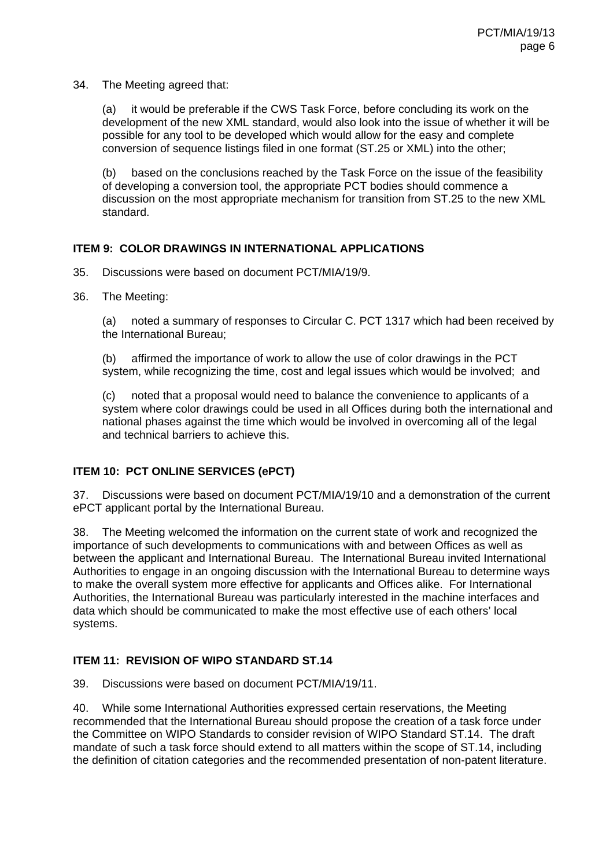34. The Meeting agreed that:

(a) it would be preferable if the CWS Task Force, before concluding its work on the development of the new XML standard, would also look into the issue of whether it will be possible for any tool to be developed which would allow for the easy and complete conversion of sequence listings filed in one format (ST.25 or XML) into the other;

(b) based on the conclusions reached by the Task Force on the issue of the feasibility of developing a conversion tool, the appropriate PCT bodies should commence a discussion on the most appropriate mechanism for transition from ST.25 to the new XML standard.

## **ITEM 9: COLOR DRAWINGS IN INTERNATIONAL APPLICATIONS**

- 35. Discussions were based on document PCT/MIA/19/9.
- 36. The Meeting:

(a) noted a summary of responses to Circular C. PCT 1317 which had been received by the International Bureau;

(b) affirmed the importance of work to allow the use of color drawings in the PCT system, while recognizing the time, cost and legal issues which would be involved; and

(c) noted that a proposal would need to balance the convenience to applicants of a system where color drawings could be used in all Offices during both the international and national phases against the time which would be involved in overcoming all of the legal and technical barriers to achieve this.

### **ITEM 10: PCT ONLINE SERVICES (ePCT)**

37. Discussions were based on document PCT/MIA/19/10 and a demonstration of the current ePCT applicant portal by the International Bureau.

38. The Meeting welcomed the information on the current state of work and recognized the importance of such developments to communications with and between Offices as well as between the applicant and International Bureau. The International Bureau invited International Authorities to engage in an ongoing discussion with the International Bureau to determine ways to make the overall system more effective for applicants and Offices alike. For International Authorities, the International Bureau was particularly interested in the machine interfaces and data which should be communicated to make the most effective use of each others' local systems.

### **ITEM 11: REVISION OF WIPO STANDARD ST.14**

39. Discussions were based on document PCT/MIA/19/11.

40. While some International Authorities expressed certain reservations, the Meeting recommended that the International Bureau should propose the creation of a task force under the Committee on WIPO Standards to consider revision of WIPO Standard ST.14. The draft mandate of such a task force should extend to all matters within the scope of ST.14, including the definition of citation categories and the recommended presentation of non-patent literature.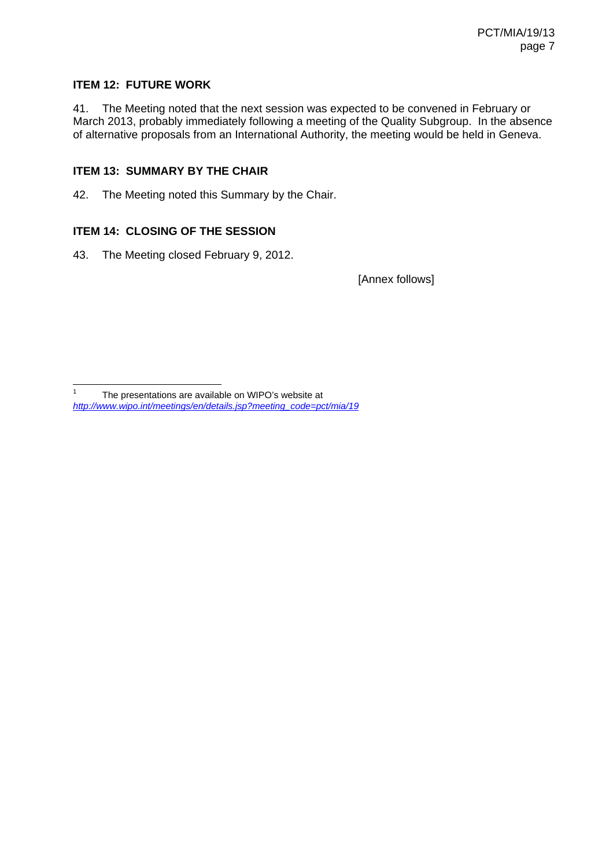### **ITEM 12: FUTURE WORK**

41. The Meeting noted that the next session was expected to be convened in February or March 2013, probably immediately following a meeting of the Quality Subgroup. In the absence of alternative proposals from an International Authority, the meeting would be held in Geneva.

#### **ITEM 13: SUMMARY BY THE CHAIR**

42. The Meeting noted this Summary by the Chair.

### **ITEM 14: CLOSING OF THE SESSION**

43. The Meeting closed February 9, 2012.

[Annex follows]

 $\frac{1}{1}$  The presentations are available on WIPO's website at *http://www.wipo.int/meetings/en/details.jsp?meeting\_code=pct/mia/19*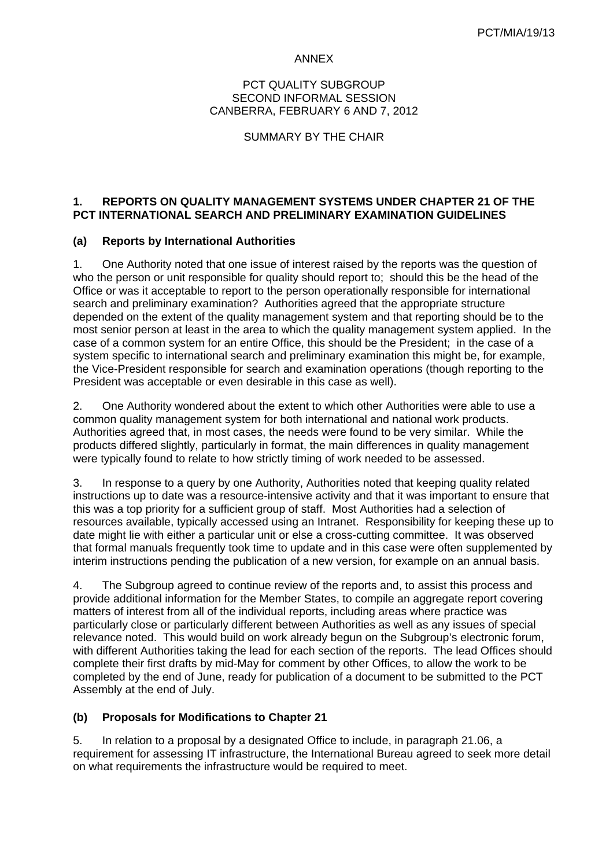#### ANNEX

#### PCT QUALITY SUBGROUP SECOND INFORMAL SESSION CANBERRA, FEBRUARY 6 AND 7, 2012

#### SUMMARY BY THE CHAIR

### **1. REPORTS ON QUALITY MANAGEMENT SYSTEMS UNDER CHAPTER 21 OF THE PCT INTERNATIONAL SEARCH AND PRELIMINARY EXAMINATION GUIDELINES**

#### **(a) Reports by International Authorities**

1. One Authority noted that one issue of interest raised by the reports was the question of who the person or unit responsible for quality should report to; should this be the head of the Office or was it acceptable to report to the person operationally responsible for international search and preliminary examination? Authorities agreed that the appropriate structure depended on the extent of the quality management system and that reporting should be to the most senior person at least in the area to which the quality management system applied. In the case of a common system for an entire Office, this should be the President; in the case of a system specific to international search and preliminary examination this might be, for example, the Vice-President responsible for search and examination operations (though reporting to the President was acceptable or even desirable in this case as well).

2. One Authority wondered about the extent to which other Authorities were able to use a common quality management system for both international and national work products. Authorities agreed that, in most cases, the needs were found to be very similar. While the products differed slightly, particularly in format, the main differences in quality management were typically found to relate to how strictly timing of work needed to be assessed.

3. In response to a query by one Authority, Authorities noted that keeping quality related instructions up to date was a resource-intensive activity and that it was important to ensure that this was a top priority for a sufficient group of staff. Most Authorities had a selection of resources available, typically accessed using an Intranet. Responsibility for keeping these up to date might lie with either a particular unit or else a cross-cutting committee. It was observed that formal manuals frequently took time to update and in this case were often supplemented by interim instructions pending the publication of a new version, for example on an annual basis.

4. The Subgroup agreed to continue review of the reports and, to assist this process and provide additional information for the Member States, to compile an aggregate report covering matters of interest from all of the individual reports, including areas where practice was particularly close or particularly different between Authorities as well as any issues of special relevance noted. This would build on work already begun on the Subgroup's electronic forum, with different Authorities taking the lead for each section of the reports. The lead Offices should complete their first drafts by mid-May for comment by other Offices, to allow the work to be completed by the end of June, ready for publication of a document to be submitted to the PCT Assembly at the end of July.

### **(b) Proposals for Modifications to Chapter 21**

5. In relation to a proposal by a designated Office to include, in paragraph 21.06, a requirement for assessing IT infrastructure, the International Bureau agreed to seek more detail on what requirements the infrastructure would be required to meet.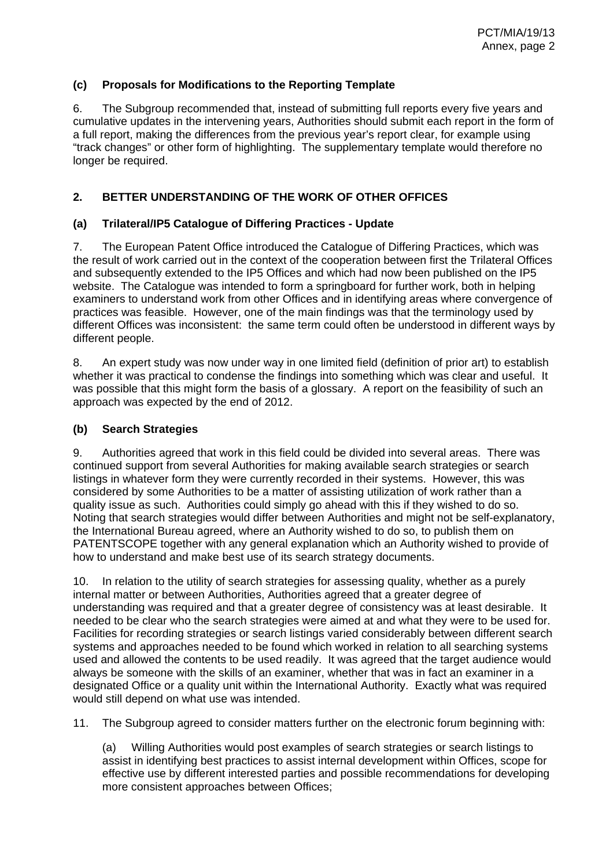## **(c) Proposals for Modifications to the Reporting Template**

6. The Subgroup recommended that, instead of submitting full reports every five years and cumulative updates in the intervening years, Authorities should submit each report in the form of a full report, making the differences from the previous year's report clear, for example using "track changes" or other form of highlighting. The supplementary template would therefore no longer be required.

# **2. BETTER UNDERSTANDING OF THE WORK OF OTHER OFFICES**

## **(a) Trilateral/IP5 Catalogue of Differing Practices - Update**

7. The European Patent Office introduced the Catalogue of Differing Practices, which was the result of work carried out in the context of the cooperation between first the Trilateral Offices and subsequently extended to the IP5 Offices and which had now been published on the IP5 website. The Catalogue was intended to form a springboard for further work, both in helping examiners to understand work from other Offices and in identifying areas where convergence of practices was feasible. However, one of the main findings was that the terminology used by different Offices was inconsistent: the same term could often be understood in different ways by different people.

8. An expert study was now under way in one limited field (definition of prior art) to establish whether it was practical to condense the findings into something which was clear and useful. It was possible that this might form the basis of a glossary. A report on the feasibility of such an approach was expected by the end of 2012.

### **(b) Search Strategies**

9. Authorities agreed that work in this field could be divided into several areas. There was continued support from several Authorities for making available search strategies or search listings in whatever form they were currently recorded in their systems. However, this was considered by some Authorities to be a matter of assisting utilization of work rather than a quality issue as such. Authorities could simply go ahead with this if they wished to do so. Noting that search strategies would differ between Authorities and might not be self-explanatory, the International Bureau agreed, where an Authority wished to do so, to publish them on PATENTSCOPE together with any general explanation which an Authority wished to provide of how to understand and make best use of its search strategy documents.

10. In relation to the utility of search strategies for assessing quality, whether as a purely internal matter or between Authorities, Authorities agreed that a greater degree of understanding was required and that a greater degree of consistency was at least desirable. It needed to be clear who the search strategies were aimed at and what they were to be used for. Facilities for recording strategies or search listings varied considerably between different search systems and approaches needed to be found which worked in relation to all searching systems used and allowed the contents to be used readily. It was agreed that the target audience would always be someone with the skills of an examiner, whether that was in fact an examiner in a designated Office or a quality unit within the International Authority. Exactly what was required would still depend on what use was intended.

11. The Subgroup agreed to consider matters further on the electronic forum beginning with:

(a) Willing Authorities would post examples of search strategies or search listings to assist in identifying best practices to assist internal development within Offices, scope for effective use by different interested parties and possible recommendations for developing more consistent approaches between Offices;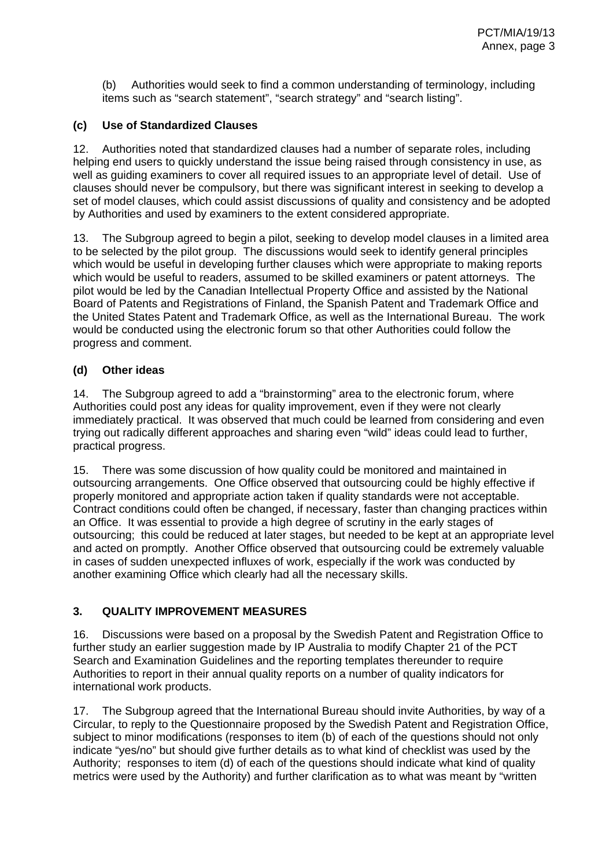(b) Authorities would seek to find a common understanding of terminology, including items such as "search statement", "search strategy" and "search listing".

# **(c) Use of Standardized Clauses**

12. Authorities noted that standardized clauses had a number of separate roles, including helping end users to quickly understand the issue being raised through consistency in use, as well as guiding examiners to cover all required issues to an appropriate level of detail. Use of clauses should never be compulsory, but there was significant interest in seeking to develop a set of model clauses, which could assist discussions of quality and consistency and be adopted by Authorities and used by examiners to the extent considered appropriate.

13. The Subgroup agreed to begin a pilot, seeking to develop model clauses in a limited area to be selected by the pilot group. The discussions would seek to identify general principles which would be useful in developing further clauses which were appropriate to making reports which would be useful to readers, assumed to be skilled examiners or patent attorneys. The pilot would be led by the Canadian Intellectual Property Office and assisted by the National Board of Patents and Registrations of Finland, the Spanish Patent and Trademark Office and the United States Patent and Trademark Office, as well as the International Bureau. The work would be conducted using the electronic forum so that other Authorities could follow the progress and comment.

## **(d) Other ideas**

14. The Subgroup agreed to add a "brainstorming" area to the electronic forum, where Authorities could post any ideas for quality improvement, even if they were not clearly immediately practical. It was observed that much could be learned from considering and even trying out radically different approaches and sharing even "wild" ideas could lead to further, practical progress.

15. There was some discussion of how quality could be monitored and maintained in outsourcing arrangements. One Office observed that outsourcing could be highly effective if properly monitored and appropriate action taken if quality standards were not acceptable. Contract conditions could often be changed, if necessary, faster than changing practices within an Office. It was essential to provide a high degree of scrutiny in the early stages of outsourcing; this could be reduced at later stages, but needed to be kept at an appropriate level and acted on promptly. Another Office observed that outsourcing could be extremely valuable in cases of sudden unexpected influxes of work, especially if the work was conducted by another examining Office which clearly had all the necessary skills.

# **3. QUALITY IMPROVEMENT MEASURES**

16. Discussions were based on a proposal by the Swedish Patent and Registration Office to further study an earlier suggestion made by IP Australia to modify Chapter 21 of the PCT Search and Examination Guidelines and the reporting templates thereunder to require Authorities to report in their annual quality reports on a number of quality indicators for international work products.

17. The Subgroup agreed that the International Bureau should invite Authorities, by way of a Circular, to reply to the Questionnaire proposed by the Swedish Patent and Registration Office, subject to minor modifications (responses to item (b) of each of the questions should not only indicate "yes/no" but should give further details as to what kind of checklist was used by the Authority; responses to item (d) of each of the questions should indicate what kind of quality metrics were used by the Authority) and further clarification as to what was meant by "written